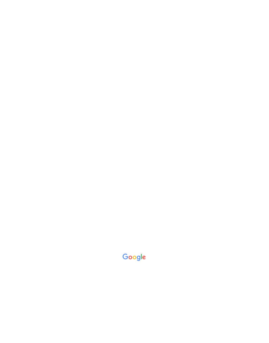# Google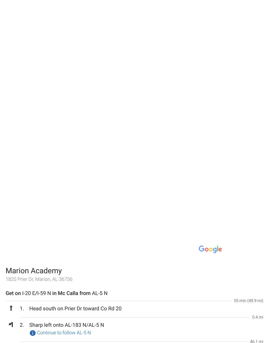## Google

### Marion Academy

1820 Prier Dr, Marion, AL 36756

#### Get on I-20 E/I-59 N in Mc Calla from AL-5 N

|  | 1 1. Head south on Prier Dr toward Co Rd 20                                            |        |
|--|----------------------------------------------------------------------------------------|--------|
|  | $\triangleleft$ 2. Sharp left onto AL-183 N/AL-5 N<br><b>Continue to follow AL-5 N</b> | 0.4 mi |

55 min (49.9 mi)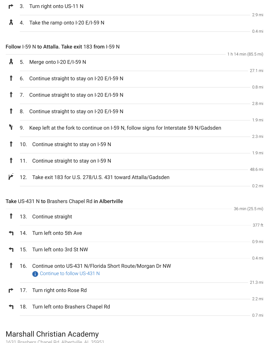| r | 3.  | Turn right onto US-11 N                                                                |                      |
|---|-----|----------------------------------------------------------------------------------------|----------------------|
| Â |     | 4. Take the ramp onto I-20 E/I-59 N                                                    | 2.9 mi               |
|   |     |                                                                                        | $0.4$ mi             |
|   |     | Follow I-59 N to Attalla. Take exit 183 from I-59 N                                    | 1 h 14 min (85.5 mi) |
| Â | 5.  | Merge onto I-20 E/I-59 N                                                               |                      |
|   |     | 6. Continue straight to stay on I-20 E/I-59 N                                          | 27.1 mi              |
| î |     | 7. Continue straight to stay on I-20 E/I-59 N                                          | $0.8$ mi             |
|   |     | 8. Continue straight to stay on I-20 E/I-59 N                                          | $2.8$ mi             |
| Y | 9.  | Keep left at the fork to continue on I-59 N, follow signs for Interstate 59 N/Gadsden  | 1.9 mi               |
|   |     |                                                                                        | $2.3 \text{ mi}$     |
|   |     | 10. Continue straight to stay on I-59 N                                                | 1.9 mi               |
|   | 11. | Continue straight to stay on I-59 N                                                    | 48.6 mi              |
| r | 12. | Take exit 183 for U.S. 278/U.S. 431 toward Attalla/Gadsden                             | $0.2$ mi             |
|   |     | Take US-431 N to Brashers Chapel Rd in Albertville                                     |                      |
| Ť |     | 13. Continue straight                                                                  | 36 min (25.5 mi)     |
|   |     |                                                                                        | 377 ft               |
|   |     | 14. Turn left onto 5th Ave                                                             | 0.9 <sub>mi</sub>    |
|   | 15. | Turn left onto 3rd St NW                                                               | $0.4$ mi             |
|   | 16. | Continue onto US-431 N/Florida Short Route/Morgan Dr NW<br>Continue to follow US-431 N |                      |
| Г | 17. | Turn right onto Rose Rd                                                                | 21.3 mi              |
|   |     |                                                                                        | $2.2 \text{ mi}$     |
|   |     | 18. Turn left onto Brashers Chapel Rd                                                  | $0.7$ mi             |

# Marshall Christian Academy

1631 Brashers Chapel Rd, Albertville, AL 35951